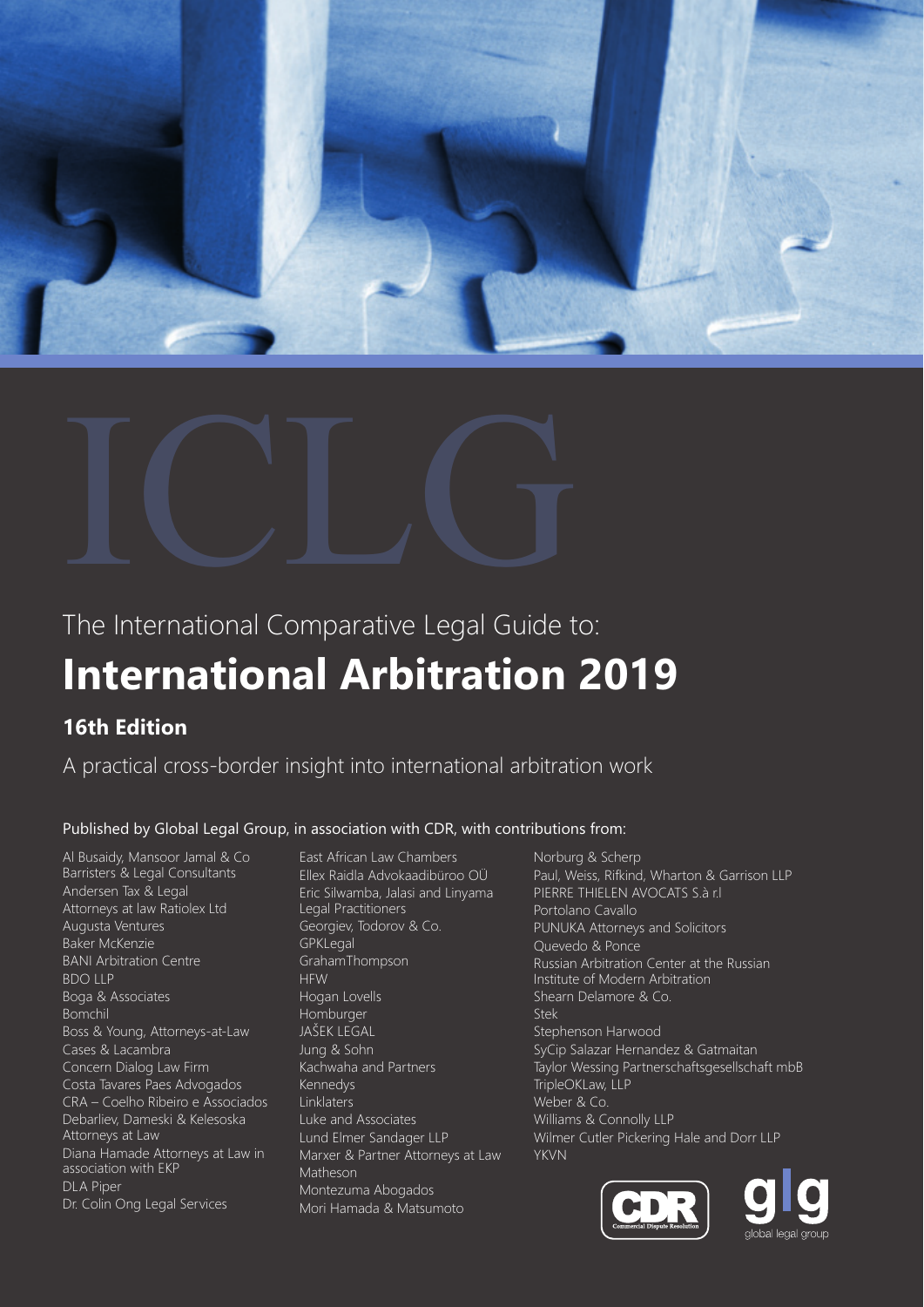



# **International Arbitration 2019** The International Comparative Legal Guide to:

## **16th Edition**

A practical cross-border insight into international arbitration work

## Published by Global Legal Group, in association with CDR, with contributions from:

Al Busaidy, Mansoor Jamal & Co Barristers & Legal Consultants Andersen Tax & Legal Attorneys at law Ratiolex Ltd Augusta Ventures Baker McKenzie BANI Arbitration Centre BDO LLP Boga & Associates Bomchil Boss & Young, Attorneys-at-Law Cases & Lacambra Concern Dialog Law Firm Costa Tavares Paes Advogados CRA – Coelho Ribeiro e Associados Debarliev, Dameski & Kelesoska Attorneys at Law Diana Hamade Attorneys at Law in association with EKP DLA Piper Dr. Colin Ong Legal Services

East African Law Chambers Ellex Raidla Advokaadibüroo OÜ Eric Silwamba, Jalasi and Linyama Legal Practitioners Georgiev, Todorov & Co. GPKLegal GrahamThompson **HFW** Hogan Lovells Homburger JAŠEK LEGAL Jung & Sohn Kachwaha and Partners Kennedys Linklaters Luke and Associates Lund Elmer Sandager LLP Marxer & Partner Attorneys at Law Matheson Montezuma Abogados Mori Hamada & Matsumoto

Norburg & Scherp Paul, Weiss, Rifkind, Wharton & Garrison LLP PIERRE THIELEN AVOCATS S.à r.l Portolano Cavallo PUNUKA Attorneys and Solicitors Quevedo & Ponce Russian Arbitration Center at the Russian Institute of Modern Arbitration Shearn Delamore & Co. Stek Stephenson Harwood SyCip Salazar Hernandez & Gatmaitan Taylor Wessing Partnerschaftsgesellschaft mbB TripleOKLaw, LLP Weber & Co. Williams & Connolly LLP Wilmer Cutler Pickering Hale and Dorr LLP YKVN



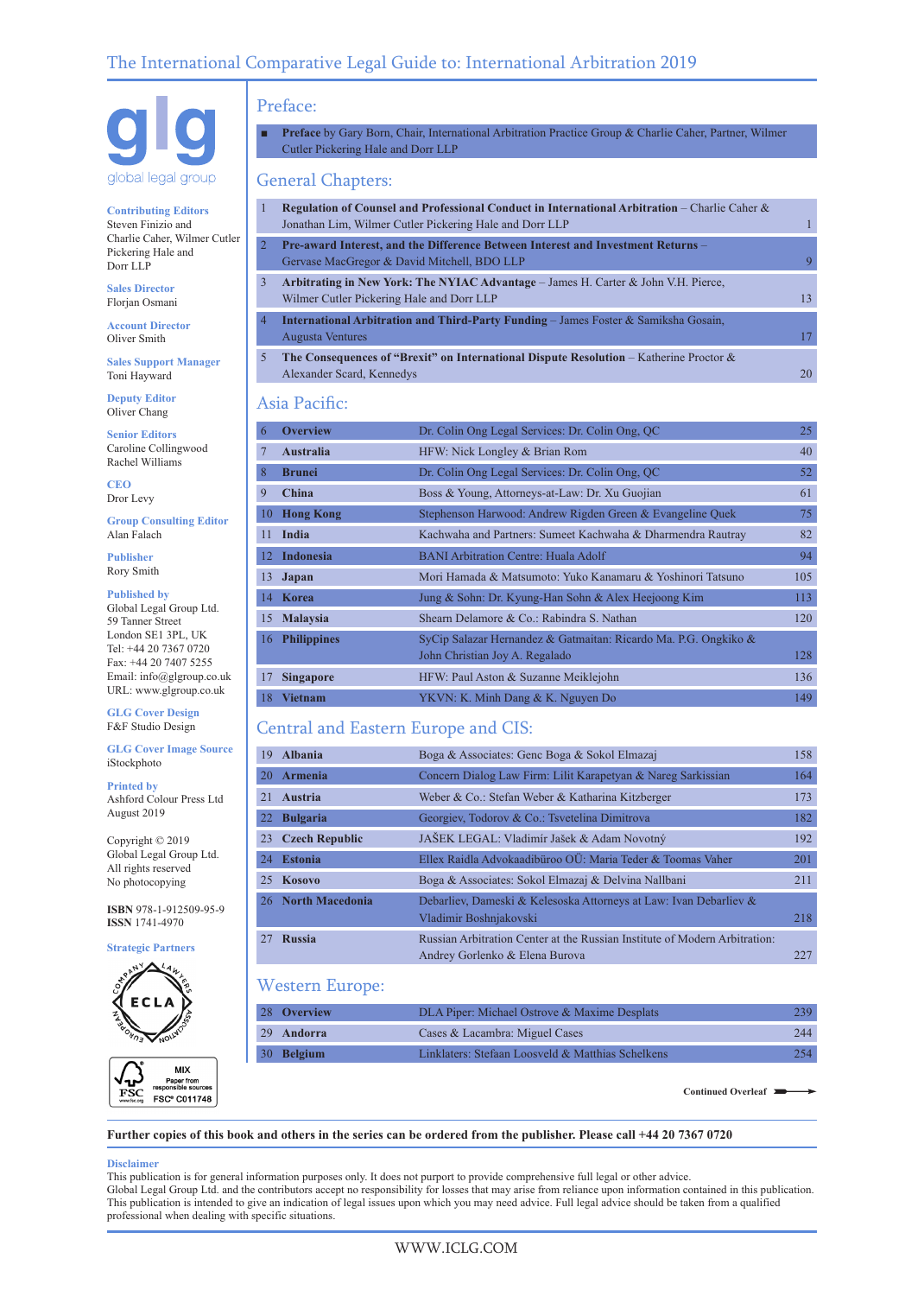

**Contributing Editors** Steven Finizio and Charlie Caher, Wilmer Cutler Pickering Hale and Dorr LLP

**Sales Director** Florjan Osmani

**Account Director** Oliver Smith

**Sales Support Manager** Toni Hayward

**Deputy Editor** Oliver Chang

**Senior Editors** Caroline Collingwood Rachel Williams

**CEO** Dror Levy

**Group Consulting Editor** Alan Falach

**Publisher** Rory Smith

#### **Published by**

Global Legal Group Ltd. 59 Tanner Street London SE1 3PL, UK Tel: +44 20 7367 0720 Fax: +44 20 7407 5255 Email: info@glgroup.co.uk URL: www.glgroup.co.uk

**GLG Cover Design** F&F Studio Design

**GLG Cover Image Source** iStockphoto

**Printed by** Ashford Colour Press Ltd August 2019

Copyright © 2019 Global Legal Group Ltd. All rights reserved No photocopying

**ISBN** 978-1-912509-95-9 **ISSN** 1741-4970

**Strategic Partners**



|             | MIX                                                      |
|-------------|----------------------------------------------------------|
| www.fsc.org | Paper from<br>responsible sources<br><b>FSC® C011748</b> |
|             |                                                          |

## Preface:

Preface by Gary Born, Chair, International Arbitration Practice Group & Charlie Caher, Partner, Wilmer Cutler Pickering Hale and Dorr LLP

## General Chapters:

| 1              | <b>Regulation of Counsel and Professional Conduct in International Arbitration</b> – Charlie Caher $\&$<br>Jonathan Lim, Wilmer Cutler Pickering Hale and Dorr LLP |    |
|----------------|--------------------------------------------------------------------------------------------------------------------------------------------------------------------|----|
| 2              | Pre-award Interest, and the Difference Between Interest and Investment Returns -<br>Gervase MacGregor & David Mitchell, BDO LLP                                    |    |
| 3              | Arbitrating in New York: The NYIAC Advantage $-$ James H. Carter & John V.H. Pierce,<br>Wilmer Cutler Pickering Hale and Dorr LLP                                  | 13 |
| $\overline{4}$ | <b>International Arbitration and Third-Party Funding – James Foster &amp; Samiksha Gosain,</b><br>Augusta Ventures                                                 |    |
| 5              | The Consequences of "Brexit" on International Dispute Resolution – Katherine Proctor $\&$<br>Alexander Scard, Kennedys                                             | 20 |

## Asia Pacific:

| 6  | <b>Overview</b>  | Dr. Colin Ong Legal Services: Dr. Colin Ong, QC                 | 25  |
|----|------------------|-----------------------------------------------------------------|-----|
| 7  | <b>Australia</b> | HFW: Nick Longley & Brian Rom                                   | 40  |
| 8  | <b>Brunei</b>    | Dr. Colin Ong Legal Services: Dr. Colin Ong, OC                 | 52  |
| 9  | China            | Boss & Young, Attorneys-at-Law: Dr. Xu Guojian                  | 61  |
| 10 | <b>Hong Kong</b> | Stephenson Harwood: Andrew Rigden Green & Evangeline Quek       | 75  |
|    | 11 India         | Kachwaha and Partners: Sumeet Kachwaha & Dharmendra Rautray     | 82  |
|    | 12 Indonesia     | <b>BANI Arbitration Centre: Huala Adolf</b>                     | 94  |
|    | 13 Japan         | Mori Hamada & Matsumoto: Yuko Kanamaru & Yoshinori Tatsuno      | 105 |
|    | 14 Korea         | Jung & Sohn: Dr. Kyung-Han Sohn & Alex Heejoong Kim             | 113 |
|    | 15 Malaysia      | Shearn Delamore & Co.: Rabindra S. Nathan                       | 120 |
|    | 16 Philippines   | SyCip Salazar Hernandez & Gatmaitan: Ricardo Ma. P.G. Ongkiko & |     |
|    |                  | John Christian Joy A. Regalado                                  | 128 |
| 17 | <b>Singapore</b> | HFW: Paul Aston & Suzanne Meiklejohn                            | 136 |
|    | 18 Vietnam       | YKVN: K. Minh Dang & K. Nguyen Do                               | 149 |

## Central and Eastern Europe and CIS:

| 19 Albania         | Boga & Associates: Genc Boga & Sokol Elmazaj                                                                 | 158 |
|--------------------|--------------------------------------------------------------------------------------------------------------|-----|
| 20 Armenia         | Concern Dialog Law Firm: Lilit Karapetyan & Nareg Sarkissian                                                 | 164 |
| 21 Austria         | Weber & Co.: Stefan Weber & Katharina Kitzberger                                                             | 173 |
| 22 Bulgaria        | Georgiev, Todorov & Co.: Tsvetelina Dimitrova                                                                | 182 |
| 23 Czech Republic  | JAŠEK LEGAL: Vladimír Jašek & Adam Novotný                                                                   | 192 |
| 24 Estonia         | Ellex Raidla Advokaadibüroo OÜ: Maria Teder & Toomas Vaher                                                   | 201 |
| 25 Kosovo          | Boga & Associates: Sokol Elmazaj & Delvina Nallbani                                                          | 211 |
| 26 North Macedonia | Debarliev, Dameski & Kelesoska Attorneys at Law: Ivan Debarliev &<br>Vladimir Boshnjakovski                  | 218 |
| 27 Russia          | Russian Arbitration Center at the Russian Institute of Modern Arbitration:<br>Andrey Gorlenko & Elena Burova | 227 |

## Western Europe:

| 28 Overview | DLA Piper: Michael Ostrove & Maxime Desplats      |     |
|-------------|---------------------------------------------------|-----|
| 29 Andorra  | Cases & Lacambra: Miguel Cases                    | 244 |
| 30 Belgium  | Linklaters: Stefaan Loosveld & Matthias Schelkens |     |

**Continued Overleaf**

**Further copies of this book and others in the series can be ordered from the publisher. Please call +44 20 7367 0720**

#### **Disclaimer**

This publication is for general information purposes only. It does not purport to provide comprehensive full legal or other advice. Global Legal Group Ltd. and the contributors accept no responsibility for losses that may arise from reliance upon information contained in this publication. This publication is intended to give an indication of legal issues upon which you may need advice. Full legal advice should be taken from a qualified professional when dealing with specific situations.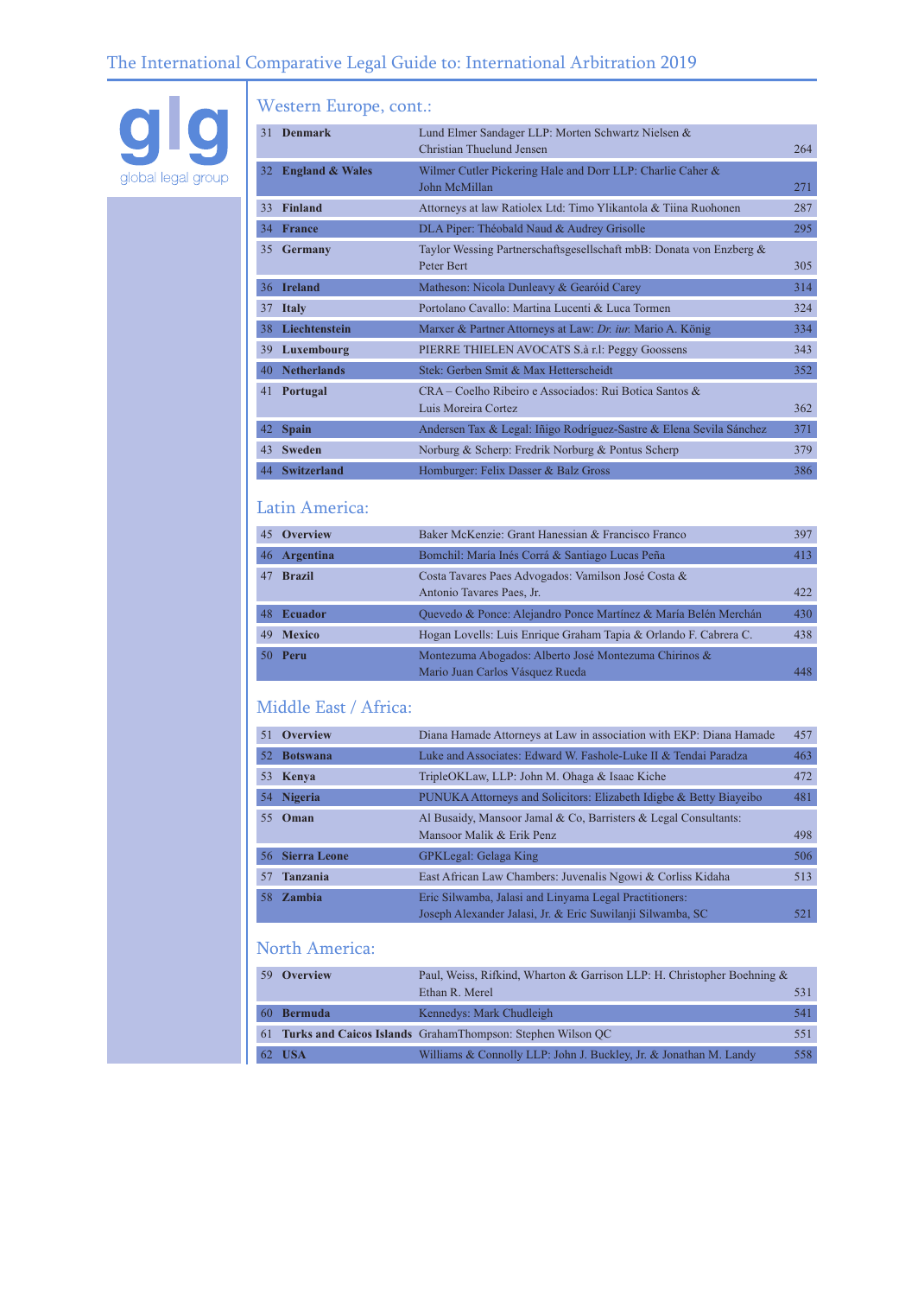

## Western Europe, cont.:

| 31 | <b>Denmark</b>             | Lund Elmer Sandager LLP: Morten Schwartz Nielsen &<br>Christian Thuelund Jensen   | 264 |
|----|----------------------------|-----------------------------------------------------------------------------------|-----|
| 32 | <b>England &amp; Wales</b> | Wilmer Cutler Pickering Hale and Dorr LLP: Charlie Caher &<br>John McMillan       | 271 |
| 33 | <b>Finland</b>             | Attorneys at law Ratiolex Ltd: Timo Ylikantola & Tiina Ruohonen                   | 287 |
| 34 | <b>France</b>              | DLA Piper: Théobald Naud & Audrey Grisolle                                        | 295 |
| 35 | Germany                    | Taylor Wessing Partnerschaftsgesellschaft mbB: Donata von Enzberg &<br>Peter Bert | 305 |
| 36 | <b>Ireland</b>             | Matheson: Nicola Dunleavy & Gearóid Carey                                         | 314 |
| 37 | <b>Italy</b>               | Portolano Cavallo: Martina Lucenti & Luca Tormen                                  | 324 |
| 38 | Liechtenstein              | Marxer & Partner Attorneys at Law: Dr. iur. Mario A. König                        | 334 |
| 39 | Luxembourg                 | PIERRE THIELEN AVOCATS S.à r.l: Peggy Goossens                                    | 343 |
| 40 | <b>Netherlands</b>         | Stek: Gerben Smit & Max Hetterscheidt                                             | 352 |
| 41 | Portugal                   | CRA – Coelho Ribeiro e Associados: Rui Botica Santos &<br>Luis Moreira Cortez     | 362 |
| 42 | <b>Spain</b>               | Andersen Tax & Legal: Iñigo Rodríguez-Sastre & Elena Sevila Sánchez               | 371 |
| 43 | <b>Sweden</b>              | Norburg & Scherp: Fredrik Norburg & Pontus Scherp                                 | 379 |
|    | 44 Switzerland             | Homburger: Felix Dasser & Balz Gross                                              | 386 |

## Latin America:

| 45 Overview    | Baker McKenzie: Grant Hanessian & Francisco Franco                                       | 397 |
|----------------|------------------------------------------------------------------------------------------|-----|
| 46 Argentina   | Bomchil: María Inés Corrá & Santiago Lucas Peña                                          | 413 |
| 47 Brazil      | Costa Tavares Paes Advogados: Vamilson José Costa &<br>Antonio Tavares Paes, Jr.         | 422 |
| 48 Ecuador     | Quevedo & Ponce: Alejandro Ponce Martínez & María Belén Merchán                          | 430 |
| 49 Mexico      | Hogan Lovells: Luis Enrique Graham Tapia & Orlando F. Cabrera C.                         | 438 |
| <b>50 Peru</b> | Montezuma Abogados: Alberto José Montezuma Chirinos &<br>Mario Juan Carlos Vásquez Rueda | 448 |

## Middle East / Africa:

| 51  | Overview            | Diana Hamade Attorneys at Law in association with EKP: Diana Hamade                                                  | 457 |
|-----|---------------------|----------------------------------------------------------------------------------------------------------------------|-----|
| 52  | <b>Botswana</b>     | Luke and Associates: Edward W. Fashole-Luke II & Tendai Paradza                                                      | 463 |
| 53  | Kenya               | TripleOKLaw, LLP: John M. Ohaga & Isaac Kiche                                                                        | 472 |
| 54  | <b>Nigeria</b>      | PUNUKA Attorneys and Solicitors: Elizabeth Idigbe & Betty Biayeibo                                                   | 481 |
| 55. | Oman                | Al Busaidy, Mansoor Jamal & Co, Barristers & Legal Consultants:<br>Mansoor Malik & Erik Penz                         | 498 |
| 56. | <b>Sierra Leone</b> | <b>GPKLegal: Gelaga King</b>                                                                                         | 506 |
| 57  | <b>Tanzania</b>     | East African Law Chambers: Juvenalis Ngowi & Corliss Kidaha                                                          | 513 |
| 58. | Zambia              | Eric Silwamba, Jalasi and Linyama Legal Practitioners:<br>Joseph Alexander Jalasi, Jr. & Eric Suwilanji Silwamba, SC | 521 |

## North America:

| -59             | <b>Overview</b> | Paul, Weiss, Rifkind, Wharton & Garrison LLP: H. Christopher Boehning & |     |
|-----------------|-----------------|-------------------------------------------------------------------------|-----|
|                 |                 | Ethan R. Merel                                                          |     |
| 60 <sup>7</sup> | Bermuda         | Kennedys: Mark Chudleigh                                                | 541 |
|                 |                 | 61 Turks and Caicos Islands GrahamThompson: Stephen Wilson OC           | 551 |
|                 | 62 USA          | Williams & Connolly LLP: John J. Buckley, Jr. & Jonathan M. Landy       | 558 |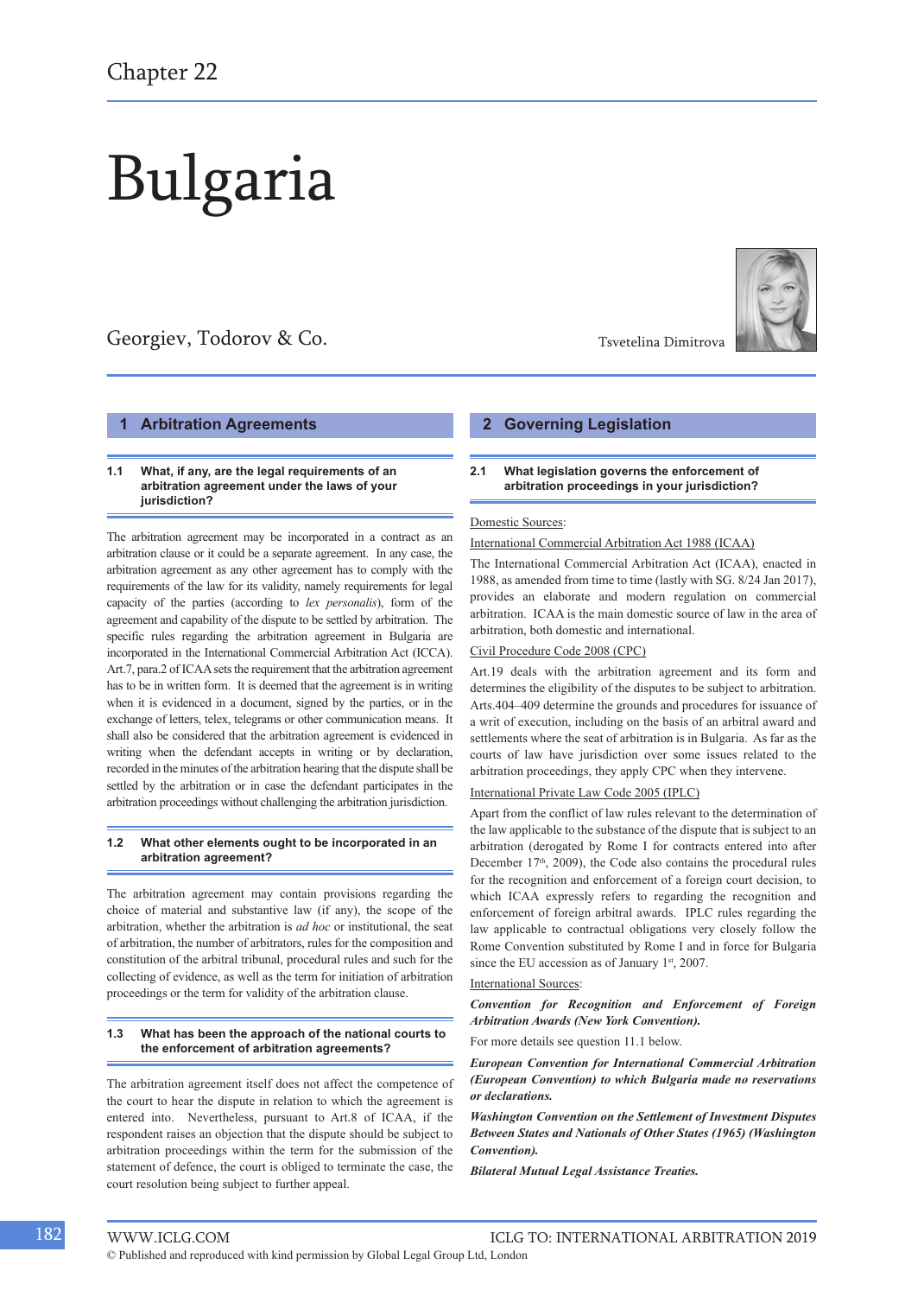# Bulgaria

## Georgiev, Todorov & Co. The Contract of Taylor The Taylor Tsvetelina Dimitrova



#### **1 Arbitration Agreements**

#### **1.1 What, if any, are the legal requirements of an arbitration agreement under the laws of your jurisdiction?**

The arbitration agreement may be incorporated in a contract as an arbitration clause or it could be a separate agreement. In any case, the arbitration agreement as any other agreement has to comply with the requirements of the law for its validity, namely requirements for legal capacity of the parties (according to *lex personalis*), form of the agreement and capability of the dispute to be settled by arbitration. The specific rules regarding the arbitration agreement in Bulgaria are incorporated in the International Commercial Arbitration Act (ICCA). Art.7, para.2 of ICAA sets the requirement that the arbitration agreement has to be in written form. It is deemed that the agreement is in writing when it is evidenced in a document, signed by the parties, or in the exchange of letters, telex, telegrams or other communication means. It shall also be considered that the arbitration agreement is evidenced in writing when the defendant accepts in writing or by declaration, recorded in the minutes of the arbitration hearing that the dispute shall be settled by the arbitration or in case the defendant participates in the arbitration proceedings without challenging the arbitration jurisdiction.

#### **1.2 What other elements ought to be incorporated in an arbitration agreement?**

The arbitration agreement may contain provisions regarding the choice of material and substantive law (if any), the scope of the arbitration, whether the arbitration is *ad hoc* or institutional, the seat of arbitration, the number of arbitrators, rules for the composition and constitution of the arbitral tribunal, procedural rules and such for the collecting of evidence, as well as the term for initiation of arbitration proceedings or the term for validity of the arbitration clause.

#### **1.3 What has been the approach of the national courts to the enforcement of arbitration agreements?**

The arbitration agreement itself does not affect the competence of the court to hear the dispute in relation to which the agreement is entered into. Nevertheless, pursuant to Art.8 of ICAA, if the respondent raises an objection that the dispute should be subject to arbitration proceedings within the term for the submission of the statement of defence, the court is obliged to terminate the case, the court resolution being subject to further appeal.

#### **2 Governing Legislation**

#### **2.1 What legislation governs the enforcement of arbitration proceedings in your jurisdiction?**

#### Domestic Sources:

#### International Commercial Arbitration Act 1988 (ICAA)

The International Commercial Arbitration Act (ICAA), enacted in 1988, as amended from time to time (lastly with SG. 8/24 Jan 2017), provides an elaborate and modern regulation on commercial arbitration. ICAA is the main domestic source of law in the area of arbitration, both domestic and international.

#### Civil Procedure Code 2008 (CPC)

Art.19 deals with the arbitration agreement and its form and determines the eligibility of the disputes to be subject to arbitration. Arts.404–409 determine the grounds and procedures for issuance of a writ of execution, including on the basis of an arbitral award and settlements where the seat of arbitration is in Bulgaria. As far as the courts of law have jurisdiction over some issues related to the arbitration proceedings, they apply CPC when they intervene.

#### International Private Law Code 2005 (IPLC)

Apart from the conflict of law rules relevant to the determination of the law applicable to the substance of the dispute that is subject to an arbitration (derogated by Rome I for contracts entered into after December 17<sup>th</sup>, 2009), the Code also contains the procedural rules for the recognition and enforcement of a foreign court decision, to which ICAA expressly refers to regarding the recognition and enforcement of foreign arbitral awards. IPLC rules regarding the law applicable to contractual obligations very closely follow the Rome Convention substituted by Rome I and in force for Bulgaria since the EU accession as of January 1st, 2007.

#### International Sources:

*Convention for Recognition and Enforcement of Foreign Arbitration Awards (New York Convention).*

For more details see question 11.1 below.

*European Convention for International Commercial Arbitration (European Convention) to which Bulgaria made no reservations or declarations.*

*Washington Convention on the Settlement of Investment Disputes Between States and Nationals of Other States (1965) (Washington Convention).*

*Bilateral Mutual Legal Assistance Treaties.*

© Published and reproduced with kind permission by Global Legal Group Ltd, London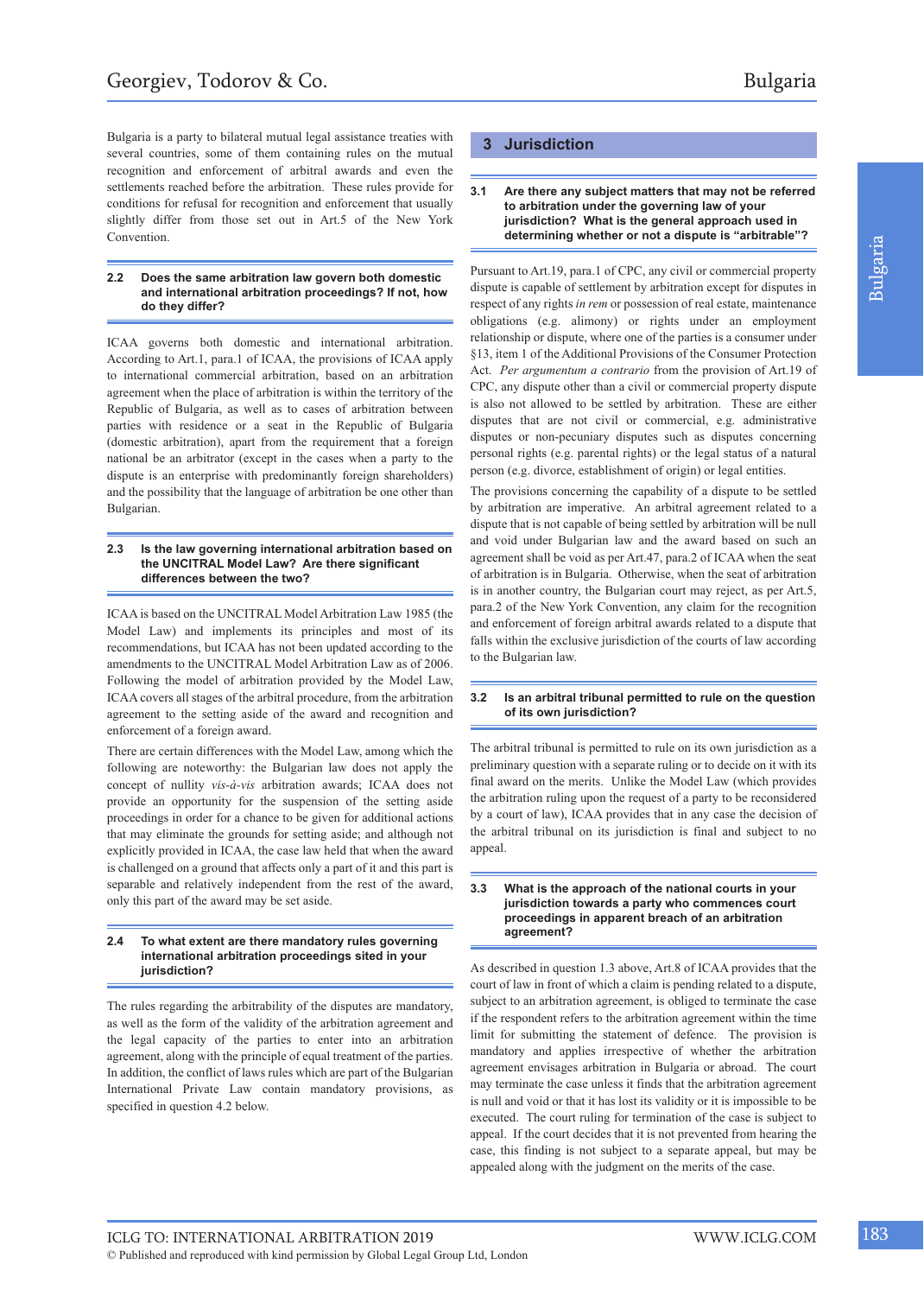Bulgaria is a party to bilateral mutual legal assistance treaties with several countries, some of them containing rules on the mutual recognition and enforcement of arbitral awards and even the settlements reached before the arbitration. These rules provide for conditions for refusal for recognition and enforcement that usually slightly differ from those set out in Art.5 of the New York Convention.

#### **2.2 Does the same arbitration law govern both domestic and international arbitration proceedings? If not, how do they differ?**

ICAA governs both domestic and international arbitration. According to Art.1, para.1 of ICAA, the provisions of ICAA apply to international commercial arbitration, based on an arbitration agreement when the place of arbitration is within the territory of the Republic of Bulgaria, as well as to cases of arbitration between parties with residence or a seat in the Republic of Bulgaria (domestic arbitration), apart from the requirement that a foreign national be an arbitrator (except in the cases when a party to the dispute is an enterprise with predominantly foreign shareholders) and the possibility that the language of arbitration be one other than Bulgarian.

#### **2.3 Is the law governing international arbitration based on the UNCITRAL Model Law? Are there significant differences between the two?**

ICAA is based on the UNCITRAL Model Arbitration Law 1985 (the Model Law) and implements its principles and most of its recommendations, but ICAA has not been updated according to the amendments to the UNCITRAL Model Arbitration Law as of 2006. Following the model of arbitration provided by the Model Law, ICAA covers all stages of the arbitral procedure, from the arbitration agreement to the setting aside of the award and recognition and enforcement of a foreign award.

There are certain differences with the Model Law, among which the following are noteworthy: the Bulgarian law does not apply the concept of nullity *vis-à-vis* arbitration awards; ICAA does not provide an opportunity for the suspension of the setting aside proceedings in order for a chance to be given for additional actions that may eliminate the grounds for setting aside; and although not explicitly provided in ICAA, the case law held that when the award is challenged on a ground that affects only a part of it and this part is separable and relatively independent from the rest of the award, only this part of the award may be set aside.

#### **2.4 To what extent are there mandatory rules governing international arbitration proceedings sited in your jurisdiction?**

The rules regarding the arbitrability of the disputes are mandatory, as well as the form of the validity of the arbitration agreement and the legal capacity of the parties to enter into an arbitration agreement, along with the principle of equal treatment of the parties. In addition, the conflict of laws rules which are part of the Bulgarian International Private Law contain mandatory provisions, as specified in question 4.2 below.

## **3 Jurisdiction**

#### **3.1 Are there any subject matters that may not be referred to arbitration under the governing law of your jurisdiction? What is the general approach used in determining whether or not a dispute is "arbitrable"?**

Pursuant to Art.19, para.1 of CPC, any civil or commercial property dispute is capable of settlement by arbitration except for disputes in respect of any rights *in rem* or possession of real estate, maintenance obligations (e.g. alimony) or rights under an employment relationship or dispute, where one of the parties is a consumer under §13, item 1 of the Additional Provisions of the Consumer Protection Act. *Per argumentum a contrario* from the provision of Art.19 of CPC, any dispute other than a civil or commercial property dispute is also not allowed to be settled by arbitration. These are either disputes that are not civil or commercial, e.g. administrative disputes or non-pecuniary disputes such as disputes concerning personal rights (e.g. parental rights) or the legal status of a natural person (e.g. divorce, establishment of origin) or legal entities.

The provisions concerning the capability of a dispute to be settled by arbitration are imperative. An arbitral agreement related to a dispute that is not capable of being settled by arbitration will be null and void under Bulgarian law and the award based on such an agreement shall be void as per Art.47, para.2 of ICAA when the seat of arbitration is in Bulgaria. Otherwise, when the seat of arbitration is in another country, the Bulgarian court may reject, as per Art.5, para.2 of the New York Convention, any claim for the recognition and enforcement of foreign arbitral awards related to a dispute that falls within the exclusive jurisdiction of the courts of law according to the Bulgarian law.

#### **3.2 Is an arbitral tribunal permitted to rule on the question of its own jurisdiction?**

The arbitral tribunal is permitted to rule on its own jurisdiction as a preliminary question with a separate ruling or to decide on it with its final award on the merits. Unlike the Model Law (which provides the arbitration ruling upon the request of a party to be reconsidered by a court of law), ICAA provides that in any case the decision of the arbitral tribunal on its jurisdiction is final and subject to no appeal.

#### **3.3 What is the approach of the national courts in your jurisdiction towards a party who commences court proceedings in apparent breach of an arbitration agreement?**

As described in question 1.3 above, Art.8 of ICAA provides that the court of law in front of which a claim is pending related to a dispute, subject to an arbitration agreement, is obliged to terminate the case if the respondent refers to the arbitration agreement within the time limit for submitting the statement of defence. The provision is mandatory and applies irrespective of whether the arbitration agreement envisages arbitration in Bulgaria or abroad. The court may terminate the case unless it finds that the arbitration agreement is null and void or that it has lost its validity or it is impossible to be executed. The court ruling for termination of the case is subject to appeal. If the court decides that it is not prevented from hearing the case, this finding is not subject to a separate appeal, but may be appealed along with the judgment on the merits of the case.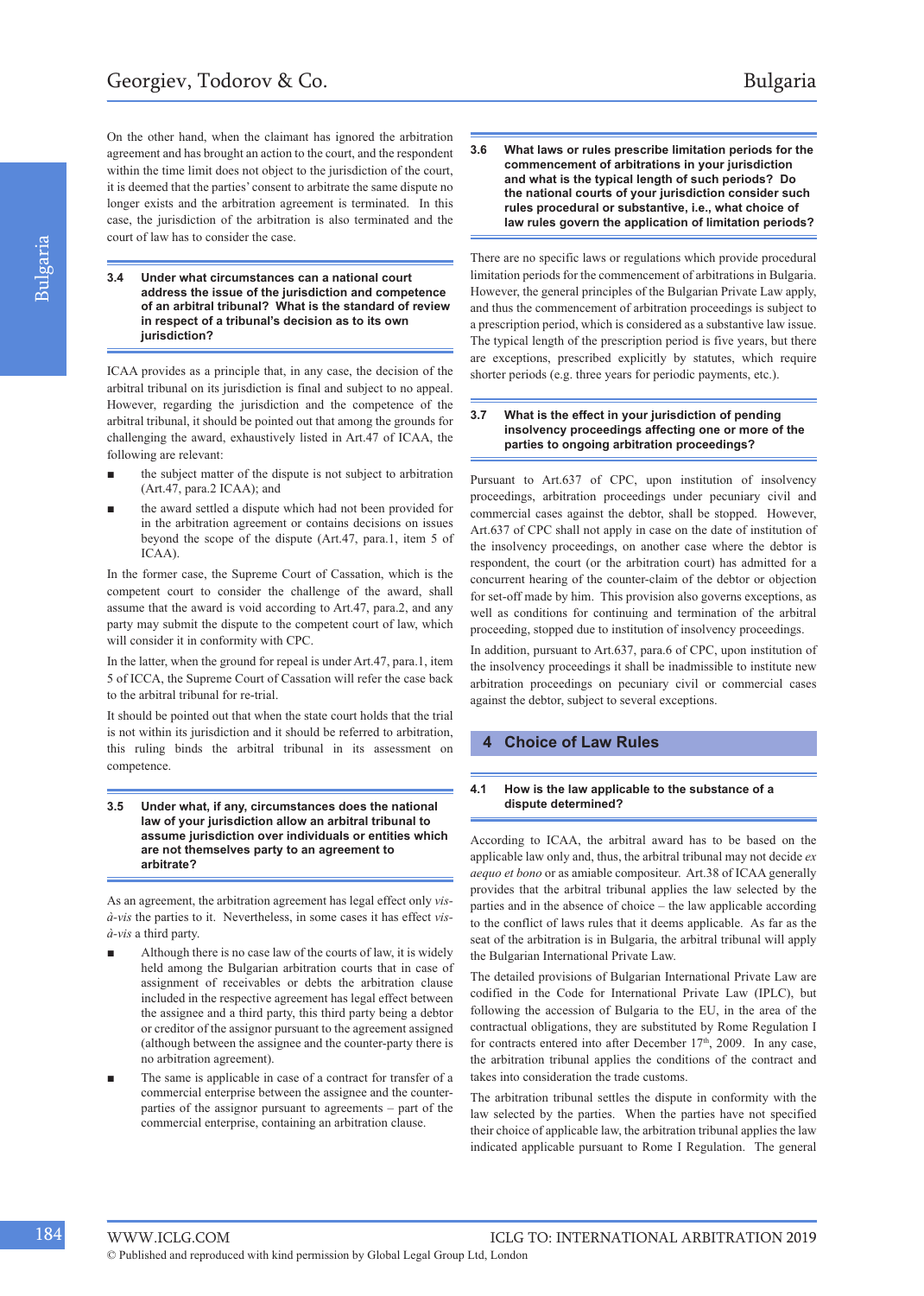On the other hand, when the claimant has ignored the arbitration agreement and has brought an action to the court, and the respondent within the time limit does not object to the jurisdiction of the court, it is deemed that the parties' consent to arbitrate the same dispute no longer exists and the arbitration agreement is terminated. In this case, the jurisdiction of the arbitration is also terminated and the court of law has to consider the case.

**3.4 Under what circumstances can a national court address the issue of the jurisdiction and competence of an arbitral tribunal? What is the standard of review in respect of a tribunal's decision as to its own jurisdiction?**

ICAA provides as a principle that, in any case, the decision of the arbitral tribunal on its jurisdiction is final and subject to no appeal. However, regarding the jurisdiction and the competence of the arbitral tribunal, it should be pointed out that among the grounds for challenging the award, exhaustively listed in Art.47 of ICAA, the following are relevant:

- the subject matter of the dispute is not subject to arbitration (Art.47, para.2 ICAA); and
- the award settled a dispute which had not been provided for in the arbitration agreement or contains decisions on issues beyond the scope of the dispute (Art.47, para.1, item 5 of ICAA).

In the former case, the Supreme Court of Cassation, which is the competent court to consider the challenge of the award, shall assume that the award is void according to Art.47, para.2, and any party may submit the dispute to the competent court of law, which will consider it in conformity with CPC.

In the latter, when the ground for repeal is under Art.47, para.1, item 5 of ICCA, the Supreme Court of Cassation will refer the case back to the arbitral tribunal for re-trial.

It should be pointed out that when the state court holds that the trial is not within its jurisdiction and it should be referred to arbitration, this ruling binds the arbitral tribunal in its assessment on competence.

**3.5 Under what, if any, circumstances does the national law of your jurisdiction allow an arbitral tribunal to assume jurisdiction over individuals or entities which are not themselves party to an agreement to arbitrate?**

As an agreement, the arbitration agreement has legal effect only *visà-vis* the parties to it. Nevertheless, in some cases it has effect *visà-vis* a third party.

- Although there is no case law of the courts of law, it is widely held among the Bulgarian arbitration courts that in case of assignment of receivables or debts the arbitration clause included in the respective agreement has legal effect between the assignee and a third party, this third party being a debtor or creditor of the assignor pursuant to the agreement assigned (although between the assignee and the counter-party there is no arbitration agreement).
- The same is applicable in case of a contract for transfer of a commercial enterprise between the assignee and the counterparties of the assignor pursuant to agreements – part of the commercial enterprise, containing an arbitration clause.

**3.6 What laws or rules prescribe limitation periods for the commencement of arbitrations in your jurisdiction and what is the typical length of such periods? Do the national courts of your jurisdiction consider such rules procedural or substantive, i.e., what choice of law rules govern the application of limitation periods?**

There are no specific laws or regulations which provide procedural limitation periods for the commencement of arbitrations in Bulgaria. However, the general principles of the Bulgarian Private Law apply, and thus the commencement of arbitration proceedings is subject to a prescription period, which is considered as a substantive law issue. The typical length of the prescription period is five years, but there are exceptions, prescribed explicitly by statutes, which require shorter periods (e.g. three years for periodic payments, etc.).

#### **3.7 What is the effect in your jurisdiction of pending insolvency proceedings affecting one or more of the parties to ongoing arbitration proceedings?**

Pursuant to Art.637 of CPC, upon institution of insolvency proceedings, arbitration proceedings under pecuniary civil and commercial cases against the debtor, shall be stopped. However, Art.637 of CPC shall not apply in case on the date of institution of the insolvency proceedings, on another case where the debtor is respondent, the court (or the arbitration court) has admitted for a concurrent hearing of the counter-claim of the debtor or objection for set-off made by him. This provision also governs exceptions, as well as conditions for continuing and termination of the arbitral proceeding, stopped due to institution of insolvency proceedings.

In addition, pursuant to Art.637, para.6 of CPC, upon institution of the insolvency proceedings it shall be inadmissible to institute new arbitration proceedings on pecuniary civil or commercial cases against the debtor, subject to several exceptions.

#### **4 Choice of Law Rules**

#### **4.1 How is the law applicable to the substance of a dispute determined?**

According to ICAA, the arbitral award has to be based on the applicable law only and, thus, the arbitral tribunal may not decide *ex aequo et bono* or as amiable compositeur. Art.38 of ICAA generally provides that the arbitral tribunal applies the law selected by the parties and in the absence of choice – the law applicable according to the conflict of laws rules that it deems applicable. As far as the seat of the arbitration is in Bulgaria, the arbitral tribunal will apply the Bulgarian International Private Law.

The detailed provisions of Bulgarian International Private Law are codified in the Code for International Private Law (IPLC), but following the accession of Bulgaria to the EU, in the area of the contractual obligations, they are substituted by Rome Regulation I for contracts entered into after December 17<sup>th</sup>, 2009. In any case, the arbitration tribunal applies the conditions of the contract and takes into consideration the trade customs.

The arbitration tribunal settles the dispute in conformity with the law selected by the parties. When the parties have not specified their choice of applicable law, the arbitration tribunal applies the law indicated applicable pursuant to Rome I Regulation. The general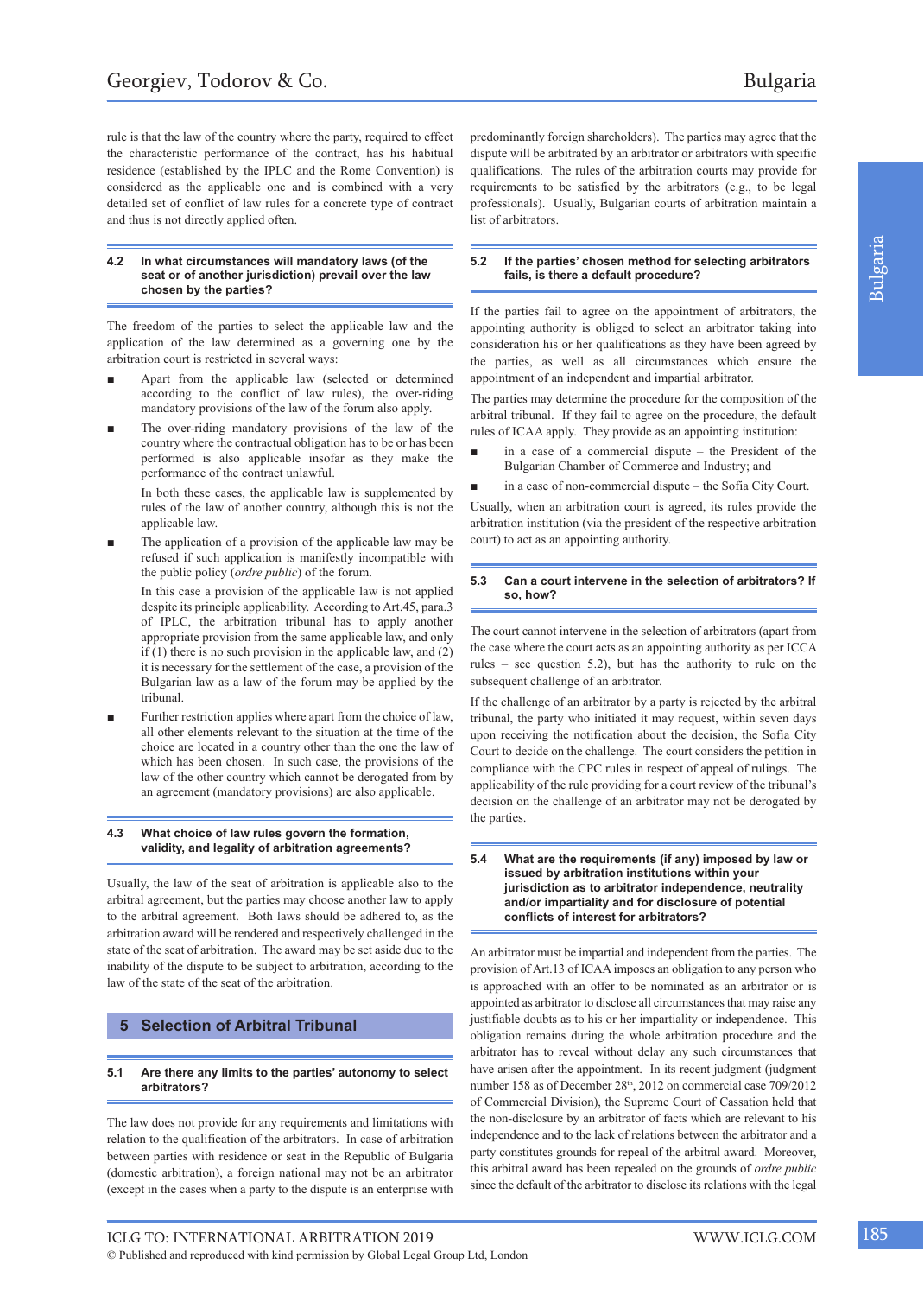rule is that the law of the country where the party, required to effect the characteristic performance of the contract, has his habitual residence (established by the IPLC and the Rome Convention) is considered as the applicable one and is combined with a very detailed set of conflict of law rules for a concrete type of contract and thus is not directly applied often.

#### **4.2 In what circumstances will mandatory laws (of the seat or of another jurisdiction) prevail over the law chosen by the parties?**

The freedom of the parties to select the applicable law and the application of the law determined as a governing one by the arbitration court is restricted in several ways:

- Apart from the applicable law (selected or determined according to the conflict of law rules), the over-riding mandatory provisions of the law of the forum also apply.
- The over-riding mandatory provisions of the law of the country where the contractual obligation has to be or has been performed is also applicable insofar as they make the performance of the contract unlawful.

In both these cases, the applicable law is supplemented by rules of the law of another country, although this is not the applicable law.

The application of a provision of the applicable law may be refused if such application is manifestly incompatible with the public policy (*ordre public*) of the forum.

In this case a provision of the applicable law is not applied despite its principle applicability. According to Art.45, para.3 of IPLC, the arbitration tribunal has to apply another appropriate provision from the same applicable law, and only if  $(1)$  there is no such provision in the applicable law, and  $(2)$ it is necessary for the settlement of the case, a provision of the Bulgarian law as a law of the forum may be applied by the tribunal.

Further restriction applies where apart from the choice of law, all other elements relevant to the situation at the time of the choice are located in a country other than the one the law of which has been chosen. In such case, the provisions of the law of the other country which cannot be derogated from by an agreement (mandatory provisions) are also applicable.

#### **4.3 What choice of law rules govern the formation, validity, and legality of arbitration agreements?**

Usually, the law of the seat of arbitration is applicable also to the arbitral agreement, but the parties may choose another law to apply to the arbitral agreement. Both laws should be adhered to, as the arbitration award will be rendered and respectively challenged in the state of the seat of arbitration. The award may be set aside due to the inability of the dispute to be subject to arbitration, according to the law of the state of the seat of the arbitration.

#### **5 Selection of Arbitral Tribunal**

#### **5.1 Are there any limits to the parties' autonomy to select arbitrators?**

The law does not provide for any requirements and limitations with relation to the qualification of the arbitrators. In case of arbitration between parties with residence or seat in the Republic of Bulgaria (domestic arbitration), a foreign national may not be an arbitrator (except in the cases when a party to the dispute is an enterprise with

predominantly foreign shareholders). The parties may agree that the dispute will be arbitrated by an arbitrator or arbitrators with specific qualifications. The rules of the arbitration courts may provide for requirements to be satisfied by the arbitrators (e.g., to be legal professionals). Usually, Bulgarian courts of arbitration maintain a list of arbitrators.

#### **5.2 If the parties' chosen method for selecting arbitrators fails, is there a default procedure?**

If the parties fail to agree on the appointment of arbitrators, the appointing authority is obliged to select an arbitrator taking into consideration his or her qualifications as they have been agreed by the parties, as well as all circumstances which ensure the appointment of an independent and impartial arbitrator.

The parties may determine the procedure for the composition of the arbitral tribunal. If they fail to agree on the procedure, the default rules of ICAA apply. They provide as an appointing institution:

- in a case of a commercial dispute the President of the Bulgarian Chamber of Commerce and Industry; and
- in a case of non-commercial dispute the Sofia City Court.

Usually, when an arbitration court is agreed, its rules provide the arbitration institution (via the president of the respective arbitration court) to act as an appointing authority.

#### **5.3 Can a court intervene in the selection of arbitrators? If so, how?**

The court cannot intervene in the selection of arbitrators (apart from the case where the court acts as an appointing authority as per ICCA rules – see question 5.2), but has the authority to rule on the subsequent challenge of an arbitrator.

If the challenge of an arbitrator by a party is rejected by the arbitral tribunal, the party who initiated it may request, within seven days upon receiving the notification about the decision, the Sofia City Court to decide on the challenge. The court considers the petition in compliance with the CPC rules in respect of appeal of rulings. The applicability of the rule providing for a court review of the tribunal's decision on the challenge of an arbitrator may not be derogated by the parties.

#### **5.4 What are the requirements (if any) imposed by law or issued by arbitration institutions within your jurisdiction as to arbitrator independence, neutrality and/or impartiality and for disclosure of potential conflicts of interest for arbitrators?**

An arbitrator must be impartial and independent from the parties. The provision of Art.13 of ICAA imposes an obligation to any person who is approached with an offer to be nominated as an arbitrator or is appointed as arbitrator to disclose all circumstances that may raise any justifiable doubts as to his or her impartiality or independence. This obligation remains during the whole arbitration procedure and the arbitrator has to reveal without delay any such circumstances that have arisen after the appointment. In its recent judgment (judgment number 158 as of December 28<sup>th</sup>, 2012 on commercial case 709/2012 of Commercial Division), the Supreme Court of Cassation held that the non-disclosure by an arbitrator of facts which are relevant to his independence and to the lack of relations between the arbitrator and a party constitutes grounds for repeal of the arbitral award. Moreover, this arbitral award has been repealed on the grounds of *ordre public* since the default of the arbitrator to disclose its relations with the legal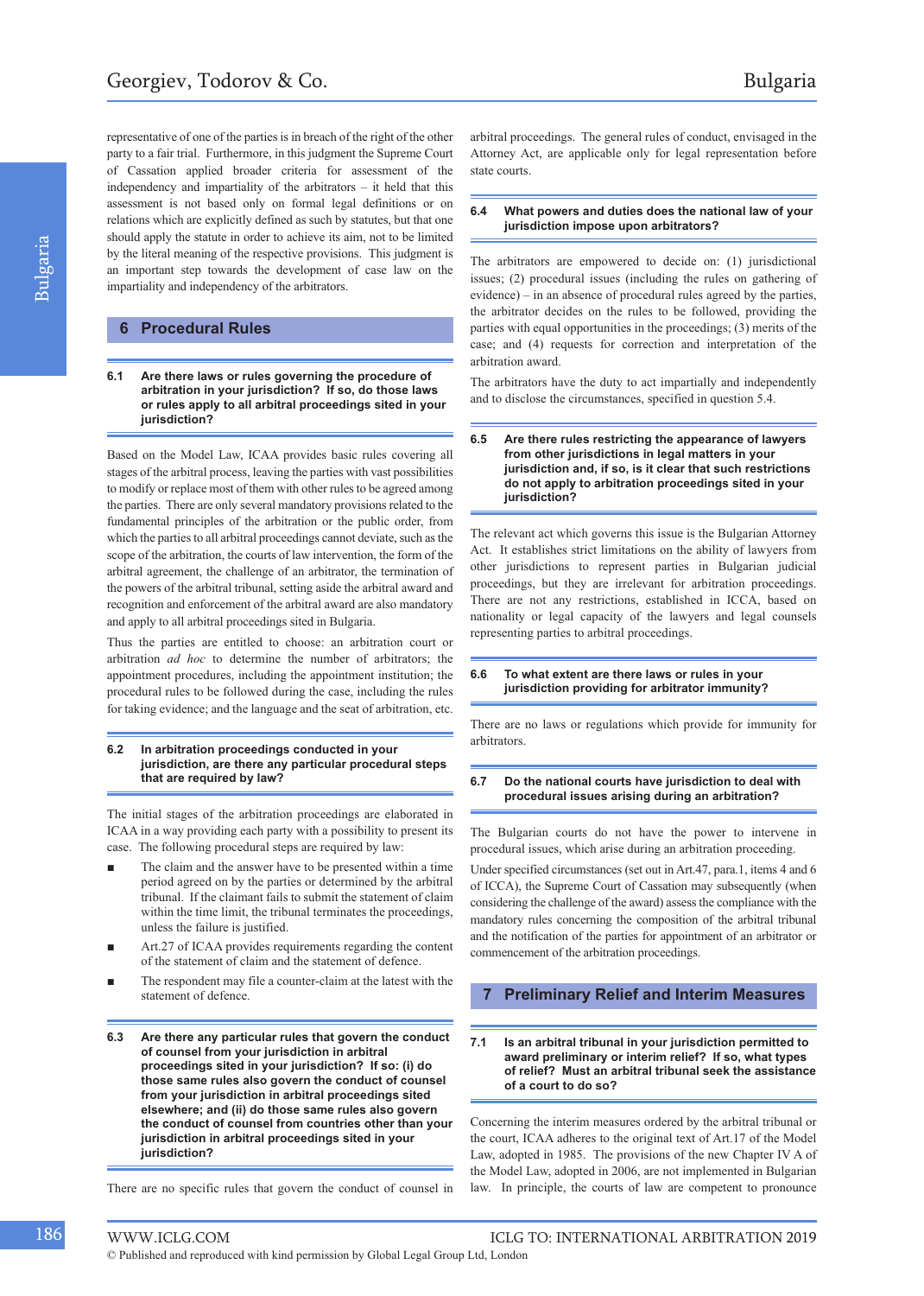representative of one of the parties is in breach of the right of the other party to a fair trial. Furthermore, in this judgment the Supreme Court of Cassation applied broader criteria for assessment of the independency and impartiality of the arbitrators – it held that this assessment is not based only on formal legal definitions or on relations which are explicitly defined as such by statutes, but that one should apply the statute in order to achieve its aim, not to be limited by the literal meaning of the respective provisions. This judgment is an important step towards the development of case law on the impartiality and independency of the arbitrators.

## **6 Procedural Rules**

**6.1 Are there laws or rules governing the procedure of arbitration in your jurisdiction? If so, do those laws or rules apply to all arbitral proceedings sited in your jurisdiction?** 

Based on the Model Law, ICAA provides basic rules covering all stages of the arbitral process, leaving the parties with vast possibilities to modify or replace most of them with other rules to be agreed among the parties. There are only several mandatory provisions related to the fundamental principles of the arbitration or the public order, from which the parties to all arbitral proceedings cannot deviate, such as the scope of the arbitration, the courts of law intervention, the form of the arbitral agreement, the challenge of an arbitrator, the termination of the powers of the arbitral tribunal, setting aside the arbitral award and recognition and enforcement of the arbitral award are also mandatory and apply to all arbitral proceedings sited in Bulgaria.

Thus the parties are entitled to choose: an arbitration court or arbitration *ad hoc* to determine the number of arbitrators; the appointment procedures, including the appointment institution; the procedural rules to be followed during the case, including the rules for taking evidence; and the language and the seat of arbitration, etc.

#### **6.2 In arbitration proceedings conducted in your jurisdiction, are there any particular procedural steps that are required by law?**

The initial stages of the arbitration proceedings are elaborated in ICAA in a way providing each party with a possibility to present its case. The following procedural steps are required by law:

- The claim and the answer have to be presented within a time period agreed on by the parties or determined by the arbitral tribunal. If the claimant fails to submit the statement of claim within the time limit, the tribunal terminates the proceedings, unless the failure is justified.
- Art.27 of ICAA provides requirements regarding the content of the statement of claim and the statement of defence.
- The respondent may file a counter-claim at the latest with the statement of defence.
- **6.3 Are there any particular rules that govern the conduct of counsel from your jurisdiction in arbitral proceedings sited in your jurisdiction? If so: (i) do those same rules also govern the conduct of counsel from your jurisdiction in arbitral proceedings sited elsewhere; and (ii) do those same rules also govern the conduct of counsel from countries other than your jurisdiction in arbitral proceedings sited in your jurisdiction?**

There are no specific rules that govern the conduct of counsel in

arbitral proceedings. The general rules of conduct, envisaged in the Attorney Act, are applicable only for legal representation before state courts.

#### **6.4 What powers and duties does the national law of your jurisdiction impose upon arbitrators?**

The arbitrators are empowered to decide on: (1) jurisdictional issues; (2) procedural issues (including the rules on gathering of evidence) – in an absence of procedural rules agreed by the parties, the arbitrator decides on the rules to be followed, providing the parties with equal opportunities in the proceedings; (3) merits of the case; and (4) requests for correction and interpretation of the arbitration award.

The arbitrators have the duty to act impartially and independently and to disclose the circumstances, specified in question 5.4.

#### **6.5 Are there rules restricting the appearance of lawyers from other jurisdictions in legal matters in your jurisdiction and, if so, is it clear that such restrictions do not apply to arbitration proceedings sited in your jurisdiction?**

The relevant act which governs this issue is the Bulgarian Attorney Act. It establishes strict limitations on the ability of lawyers from other jurisdictions to represent parties in Bulgarian judicial proceedings, but they are irrelevant for arbitration proceedings. There arе not any restrictions, established in ICCA, based on nationality or legal capacity of the lawyers and legal counsels representing parties to arbitral proceedings.

#### **6.6 To what extent are there laws or rules in your jurisdiction providing for arbitrator immunity?**

There are no laws or regulations which provide for immunity for arbitrators.

#### **6.7 Do the national courts have jurisdiction to deal with procedural issues arising during an arbitration?**

The Bulgarian courts do not have the power to intervene in procedural issues, which arise during an arbitration proceeding.

Under specified circumstances (set out in Art.47, para.1, items 4 and 6 of ICCA), the Supreme Court of Cassation may subsequently (when considering the challenge of the award) assess the compliance with the mandatory rules concerning the composition of the arbitral tribunal and the notification of the parties for appointment of an arbitrator or commencement of the arbitration proceedings.

#### **7 Preliminary Relief and Interim Measures**

#### **7.1 Is an arbitral tribunal in your jurisdiction permitted to award preliminary or interim relief? If so, what types of relief? Must an arbitral tribunal seek the assistance of a court to do so?**

Concerning the interim measures ordered by the arbitral tribunal or the court, ICAA adheres to the original text of Art.17 of the Model Law, adopted in 1985. The provisions of the new Chapter IV A of the Model Law, adopted in 2006, are not implemented in Bulgarian law. In principle, the courts of law are competent to pronounce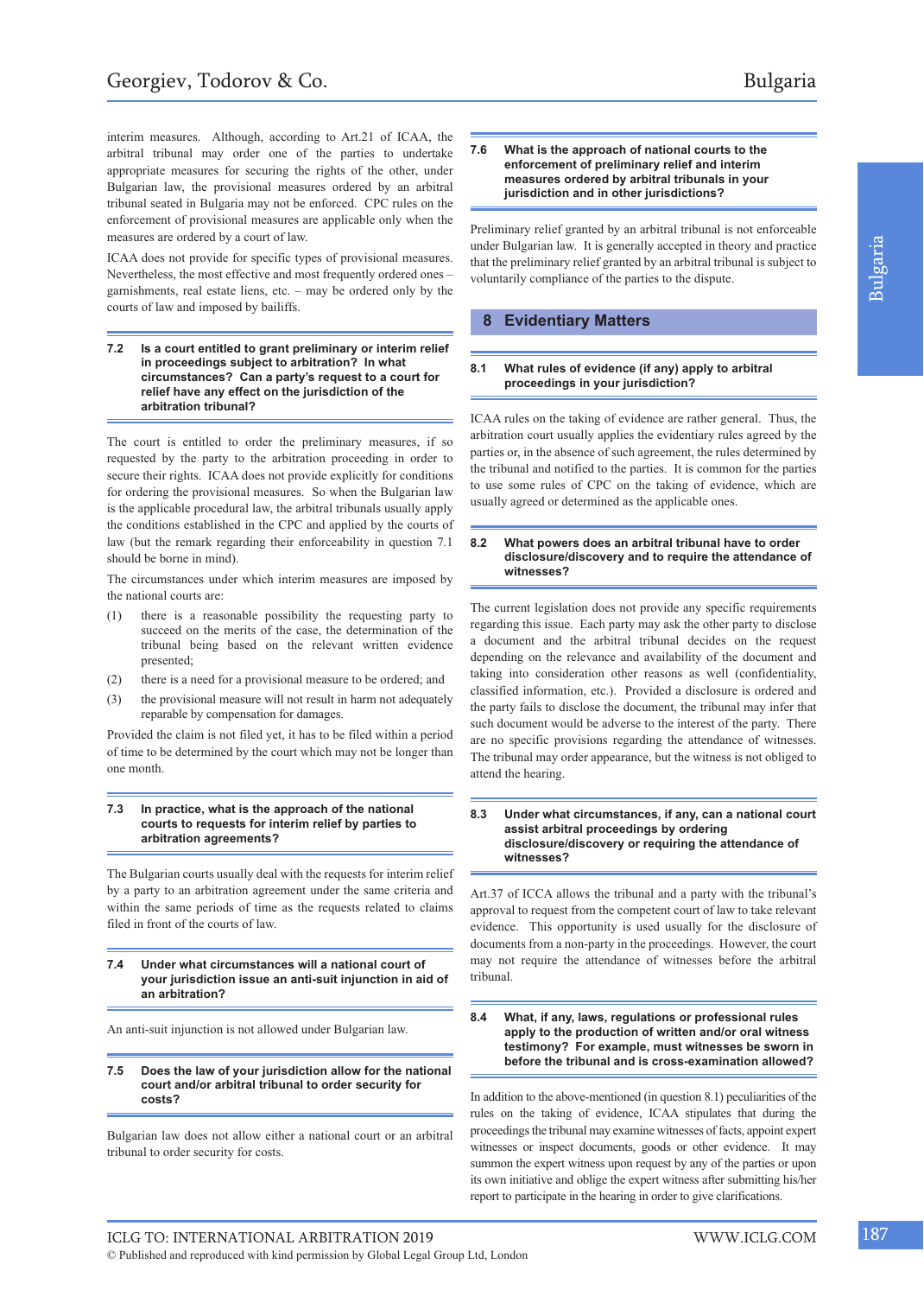interim measures. Although, according to Art.21 of ICAA, the arbitral tribunal may order one of the parties to undertake appropriate measures for securing the rights of the other, under Bulgarian law, the provisional measures ordered by an arbitral tribunal seated in Bulgaria may not be enforced. CPC rules on the enforcement of provisional measures are applicable only when the measures are ordered by a court of law.

ICAA does not provide for specific types of provisional measures. Nevertheless, the most effective and most frequently ordered ones – garnishments, real estate liens, etc. – may be ordered only by the courts of law and imposed by bailiffs.

**7.2 Is a court entitled to grant preliminary or interim relief in proceedings subject to arbitration? In what circumstances? Can a party's request to a court for relief have any effect on the jurisdiction of the arbitration tribunal?**

The court is entitled to order the preliminary measures, if so requested by the party to the arbitration proceeding in order to secure their rights. ICAA does not provide explicitly for conditions for ordering the provisional measures. So when the Bulgarian law is the applicable procedural law, the arbitral tribunals usually apply the conditions established in the CPC and applied by the courts of law (but the remark regarding their enforceability in question 7.1 should be borne in mind).

The circumstances under which interim measures are imposed by the national courts are:

- (1) there is a reasonable possibility the requesting party to succeed on the merits of the case, the determination of the tribunal being based on the relevant written evidence presented;
- (2) there is a need for a provisional measure to be ordered; and
- the provisional measure will not result in harm not adequately reparable by compensation for damages.

Provided the claim is not filed yet, it has to be filed within a period of time to be determined by the court which may not be longer than one month.

#### **7.3 In practice, what is the approach of the national courts to requests for interim relief by parties to arbitration agreements?**

The Bulgarian courts usually deal with the requests for interim relief by a party to an arbitration agreement under the same criteria and within the same periods of time as the requests related to claims filed in front of the courts of law.

**7.4 Under what circumstances will a national court of your jurisdiction issue an anti-suit injunction in aid of an arbitration?**

An anti-suit injunction is not allowed under Bulgarian law.

#### **7.5 Does the law of your jurisdiction allow for the national court and/or arbitral tribunal to order security for costs?**

Bulgarian law does not allow either a national court or an arbitral tribunal to order security for costs.

#### **7.6 What is the approach of national courts to the enforcement of preliminary relief and interim measures ordered by arbitral tribunals in your jurisdiction and in other jurisdictions?**

Preliminary relief granted by an arbitral tribunal is not enforceable under Bulgarian law. It is generally accepted in theory and practice that the preliminary relief granted by an arbitral tribunal is subject to voluntarily compliance of the parties to the dispute.

#### **8 Evidentiary Matters**

#### **8.1 What rules of evidence (if any) apply to arbitral proceedings in your jurisdiction?**

ICAA rules on the taking of evidence are rather general. Thus, the arbitration court usually applies the evidentiary rules agreed by the parties or, in the absence of such agreement, the rules determined by the tribunal and notified to the parties. It is common for the parties to use some rules of CPC on the taking of evidence, which are usually agreed or determined as the applicable ones.

#### **8.2 What powers does an arbitral tribunal have to order disclosure/discovery and to require the attendance of witnesses?**

The current legislation does not provide any specific requirements regarding this issue. Each party may ask the other party to disclose a document and the arbitral tribunal decides on the request depending on the relevance and availability of the document and taking into consideration other reasons as well (confidentiality, classified information, etc.). Provided a disclosure is ordered and the party fails to disclose the document, the tribunal may infer that such document would be adverse to the interest of the party. There are no specific provisions regarding the attendance of witnesses. The tribunal may order appearance, but the witness is not obliged to attend the hearing.

#### **8.3 Under what circumstances, if any, can a national court assist arbitral proceedings by ordering disclosure/discovery or requiring the attendance of witnesses?**

Art.37 of ICCA allows the tribunal and a party with the tribunal's approval to request from the competent court of law to take relevant evidence. This opportunity is used usually for the disclosure of documents from a non-party in the proceedings. However, the court may not require the attendance of witnesses before the arbitral tribunal.

#### **8.4 What, if any, laws, regulations or professional rules apply to the production of written and/or oral witness testimony? For example, must witnesses be sworn in before the tribunal and is cross-examination allowed?**

In addition to the above-mentioned (in question 8.1) peculiarities of the rules on the taking of evidence, ICAA stipulates that during the proceedings the tribunal may examine witnesses of facts, appoint expert witnesses or inspect documents, goods or other evidence. It may summon the expert witness upon request by any of the parties or upon its own initiative and oblige the expert witness after submitting his/her report to participate in the hearing in order to give clarifications.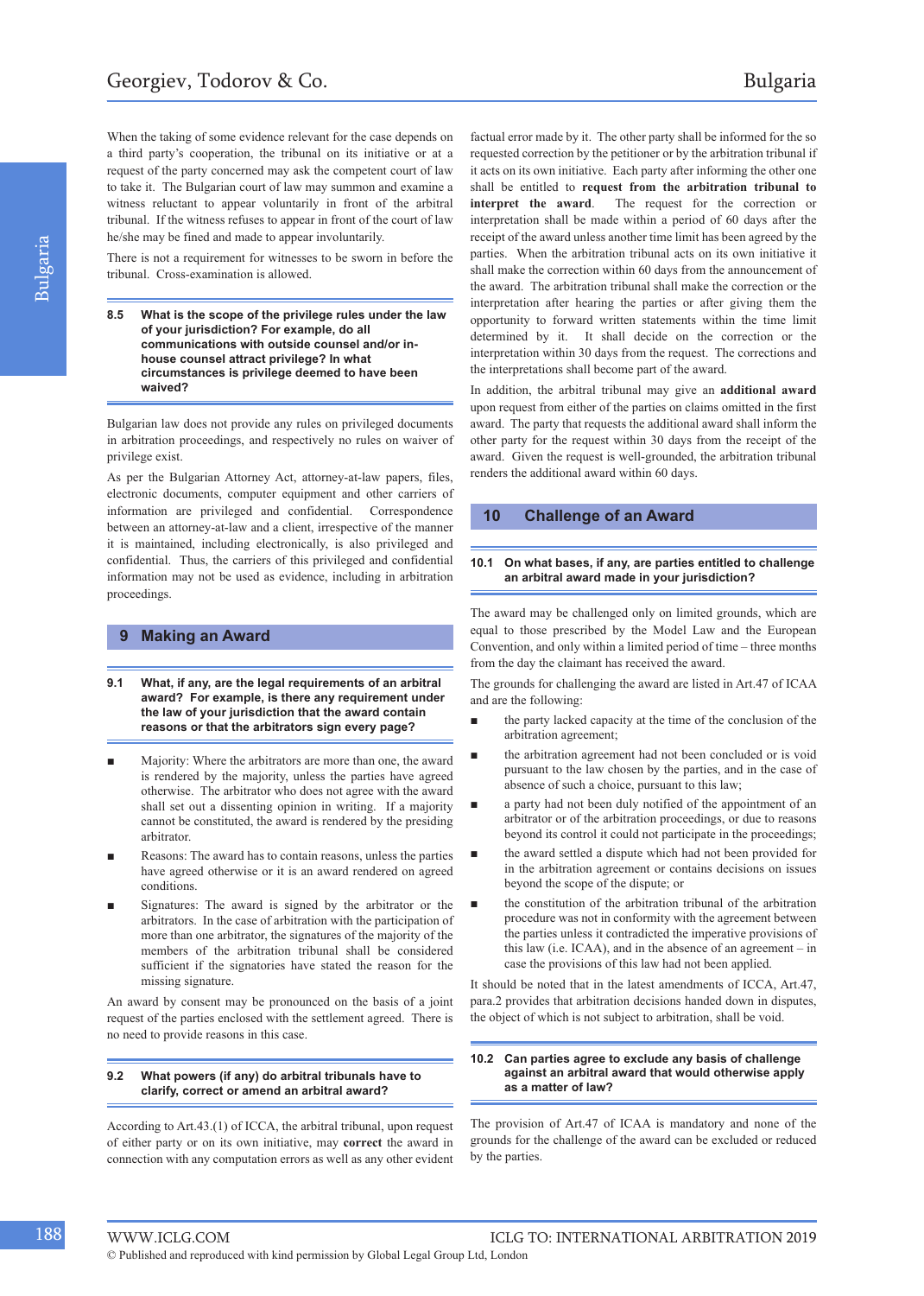When the taking of some evidence relevant for the case depends on a third party's cooperation, the tribunal on its initiative or at a request of the party concerned may ask the competent court of law to take it. The Bulgarian court of law may summon and examine a witness reluctant to appear voluntarily in front of the arbitral tribunal. If the witness refuses to appear in front of the court of law he/she may be fined and made to appear involuntarily.

There is not a requirement for witnesses to be sworn in before the tribunal. Cross-examination is allowed.

**8.5 What is the scope of the privilege rules under the law of your jurisdiction? For example, do all communications with outside counsel and/or inhouse counsel attract privilege? In what circumstances is privilege deemed to have been waived?**

Bulgarian law does not provide any rules on privileged documents in arbitration proceedings, and respectively no rules on waiver of privilege exist.

As per the Bulgarian Attorney Act, attorney-at-law papers, files, electronic documents, computer equipment and other carriers of information are privileged and confidential. Correspondence between an attorney-at-law and a client, irrespective of the manner it is maintained, including electronically, is also privileged and confidential. Thus, the carriers of this privileged and confidential information may not be used as evidence, including in arbitration proceedings.

#### **9 Making an Award**

- **9.1 What, if any, are the legal requirements of an arbitral award? For example, is there any requirement under the law of your jurisdiction that the award contain reasons or that the arbitrators sign every page?**
- Majority: Where the arbitrators are more than one, the award is rendered by the majority, unless the parties have agreed otherwise. The arbitrator who does not agree with the award shall set out a dissenting opinion in writing. If a majority cannot be constituted, the award is rendered by the presiding arbitrator.
- Reasons: The award has to contain reasons, unless the parties have agreed otherwise or it is an award rendered on agreed conditions.
- Signatures: The award is signed by the arbitrator or the arbitrators. In the case of arbitration with the participation of more than one arbitrator, the signatures of the majority of the members of the arbitration tribunal shall be considered sufficient if the signatories have stated the reason for the missing signature.

An award by consent may be pronounced on the basis of a joint request of the parties enclosed with the settlement agreed. There is no need to provide reasons in this case.

#### **9.2 What powers (if any) do arbitral tribunals have to clarify, correct or amend an arbitral award?**

According to Art.43.(1) of ICCA, the arbitral tribunal, upon request of either party or on its own initiative, may **correct** the award in connection with any computation errors as well as any other evident

factual error made by it. The other party shall be informed for the so requested correction by the petitioner or by the arbitration tribunal if it acts on its own initiative. Each party after informing the other one shall be entitled to **request from the arbitration tribunal to interpret the award**. The request for the correction or interpretation shall be made within a period of 60 days after the receipt of the award unless another time limit has been agreed by the parties. When the arbitration tribunal acts on its own initiative it shall make the correction within 60 days from the announcement of the award. The arbitration tribunal shall make the correction or the interpretation after hearing the parties or after giving them the opportunity to forward written statements within the time limit determined by it. It shall decide on the correction or the interpretation within 30 days from the request. The corrections and the interpretations shall become part of the award.

In addition, the arbitral tribunal may give an **additional award** upon request from either of the parties on claims omitted in the first award. The party that requests the additional award shall inform the other party for the request within 30 days from the receipt of the award. Given the request is well-grounded, the arbitration tribunal renders the additional award within 60 days.

#### **10 Challenge of an Award**

#### **10.1 On what bases, if any, are parties entitled to challenge an arbitral award made in your jurisdiction?**

The award may be challenged only on limited grounds, which are equal to those prescribed by the Model Law and the European Convention, and only within a limited period of time – three months from the day the claimant has received the award.

The grounds for challenging the award are listed in Art.47 of ICAA and are the following:

- the party lacked capacity at the time of the conclusion of the arbitration agreement;
- the arbitration agreement had not been concluded or is void pursuant to the law chosen by the parties, and in the case of absence of such a choice, pursuant to this law;
- a party had not been duly notified of the appointment of an arbitrator or of the arbitration proceedings, or due to reasons beyond its control it could not participate in the proceedings;
- the award settled a dispute which had not been provided for in the arbitration agreement or contains decisions on issues beyond the scope of the dispute; or
- the constitution of the arbitration tribunal of the arbitration procedure was not in conformity with the agreement between the parties unless it contradicted the imperative provisions of this law (i.e. ICAA), and in the absence of an agreement – in case the provisions of this law had not been applied.

It should be noted that in the latest amendments of ICCA, Art.47, para.2 provides that arbitration decisions handed down in disputes, the object of which is not subject to arbitration, shall be void.

#### **10.2 Can parties agree to exclude any basis of challenge against an arbitral award that would otherwise apply as a matter of law?**

The provision of Art.47 of ICAA is mandatory and none of the grounds for the challenge of the award can be excluded or reduced by the parties.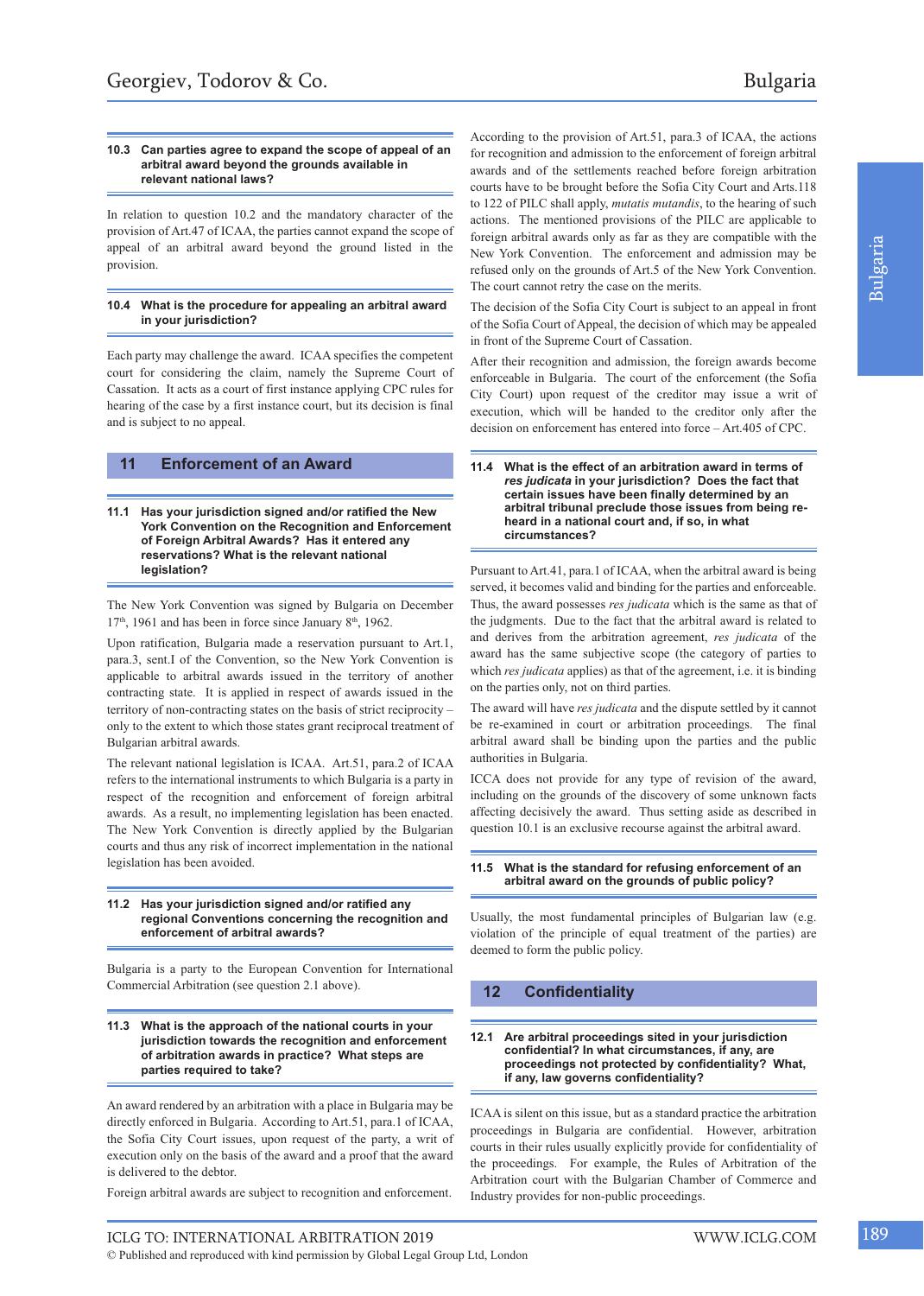#### **10.3 Can parties agree to expand the scope of appeal of an arbitral award beyond the grounds available in relevant national laws?**

In relation to question 10.2 and the mandatory character of the provision of Art.47 of ICAA, the parties cannot expand the scope of appeal of an arbitral award beyond the ground listed in the provision.

#### **10.4 What is the procedure for appealing an arbitral award in your jurisdiction?**

Each party may challenge the award. ICAA specifies the competent court for considering the claim, namely the Supreme Court of Cassation. It acts as a court of first instance applying CPC rules for hearing of the case by a first instance court, but its decision is final and is subject to no appeal.

## **11 Enforcement of an Award**

**11.1 Has your jurisdiction signed and/or ratified the New York Convention on the Recognition and Enforcement of Foreign Arbitral Awards? Has it entered any reservations? What is the relevant national legislation?**

The New York Convention was signed by Bulgaria on December  $17<sup>th</sup>$ , 1961 and has been in force since January 8<sup>th</sup>, 1962.

Upon ratification, Bulgaria made a reservation pursuant to Art.1, para.3, sent.I of the Convention, so the New York Convention is applicable to arbitral awards issued in the territory of another contracting state. It is applied in respect of awards issued in the territory of non-contracting states on the basis of strict reciprocity – only to the extent to which those states grant reciprocal treatment of Bulgarian arbitral awards.

The relevant national legislation is ICAA. Art.51, para.2 of ICAA refers to the international instruments to which Bulgaria is a party in respect of the recognition and enforcement of foreign arbitral awards. As a result, no implementing legislation has been enacted. The New York Convention is directly applied by the Bulgarian courts and thus any risk of incorrect implementation in the national legislation has been avoided.

#### **11.2 Has your jurisdiction signed and/or ratified any regional Conventions concerning the recognition and enforcement of arbitral awards?**

Bulgaria is a party to the European Convention for International Commercial Arbitration (see question 2.1 above).

#### **11.3 What is the approach of the national courts in your jurisdiction towards the recognition and enforcement of arbitration awards in practice? What steps are parties required to take?**

An award rendered by an arbitration with a place in Bulgaria may be directly enforced in Bulgaria. According to Art.51, para.1 of ICAA, the Sofia City Court issues, upon request of the party, a writ of execution only on the basis of the award and a proof that the award is delivered to the debtor.

Foreign arbitral awards are subject to recognition and enforcement.

According to the provision of Art.51, para.3 of ICAA, the actions for recognition and admission to the enforcement of foreign arbitral awards and of the settlements reached before foreign arbitration courts have to be brought before the Sofia City Court and Arts.118 to 122 of PILC shall apply, *mutatis mutandis*, to the hearing of such actions. The mentioned provisions of the PILC are applicable to foreign arbitral awards only as far as they are compatible with the New York Convention. The enforcement and admission may be refused only on the grounds of Art.5 of the New York Convention. The court cannot retry the case on the merits.

The decision of the Sofia City Court is subject to an appeal in front of the Sofia Court of Appeal, the decision of which may be appealed in front of the Supreme Court of Cassation.

After their recognition and admission, the foreign awards become enforceable in Bulgaria. The court of the enforcement (the Sofia City Court) upon request of the creditor may issue a writ of execution, which will be handed to the creditor only after the decision on enforcement has entered into force – Art.405 of CPC.

Pursuant to Art.41, para.1 of ICAA, when the arbitral award is being served, it becomes valid and binding for the parties and enforceable. Thus, the award possesses *res judicata* which is the same as that of the judgments. Due to the fact that the arbitral award is related to and derives from the arbitration agreement, *res judicata* of the award has the same subjective scope (the category of parties to which *res judicata* applies) as that of the agreement, i.e. it is binding on the parties only, not on third parties.

The award will have *res judicata* and the dispute settled by it cannot be re-examined in court or arbitration proceedings. The final arbitral award shall be binding upon the parties and the public authorities in Bulgaria.

ICCA does not provide for any type of revision of the award, including on the grounds of the discovery of some unknown facts affecting decisively the award. Thus setting aside as described in question 10.1 is an exclusive recourse against the arbitral award.

#### **11.5 What is the standard for refusing enforcement of an arbitral award on the grounds of public policy?**

Usually, the most fundamental principles of Bulgarian law (e.g. violation of the principle of equal treatment of the parties) are deemed to form the public policy.

## **12 Confidentiality**

**12.1 Are arbitral proceedings sited in your jurisdiction confidential? In what circumstances, if any, are proceedings not protected by confidentiality? What, if any, law governs confidentiality?**

ICAA is silent on this issue, but as a standard practice the arbitration proceedings in Bulgaria are confidential. However, arbitration courts in their rules usually explicitly provide for confidentiality of the proceedings. For example, the Rules of Arbitration of the Arbitration court with the Bulgarian Chamber of Commerce and Industry provides for non-public proceedings.

**<sup>11.4</sup> What is the effect of an arbitration award in terms of** *res judicata* **in your jurisdiction? Does the fact that certain issues have been finally determined by an arbitral tribunal preclude those issues from being reheard in a national court and, if so, in what circumstances?**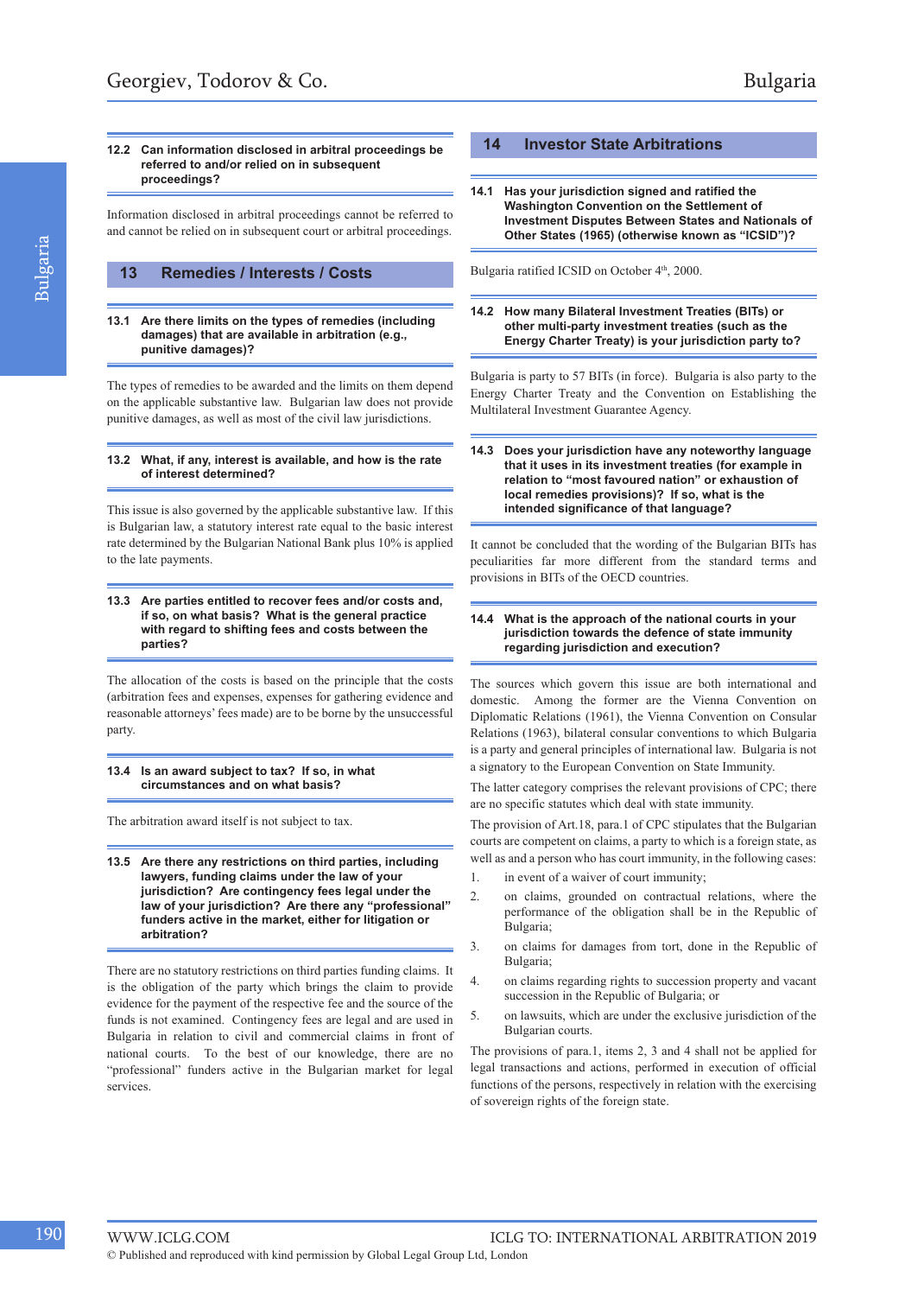#### **12.2 Can information disclosed in arbitral proceedings be referred to and/or relied on in subsequent proceedings?**

Information disclosed in arbitral proceedings cannot be referred to and cannot be relied on in subsequent court or arbitral proceedings.

## **13 Remedies / Interests / Costs**

**13.1 Are there limits on the types of remedies (including damages) that are available in arbitration (e.g., punitive damages)?**

The types of remedies to be awarded and the limits on them depend on the applicable substantive law. Bulgarian law does not provide punitive damages, as well as most of the civil law jurisdictions.

#### **13.2 What, if any, interest is available, and how is the rate of interest determined?**

This issue is also governed by the applicable substantive law. If this is Bulgarian law, a statutory interest rate equal to the basic interest rate determined by the Bulgarian National Bank plus 10% is applied to the late payments.

#### **13.3 Are parties entitled to recover fees and/or costs and, if so, on what basis? What is the general practice with regard to shifting fees and costs between the parties?**

The allocation of the costs is based on the principle that the costs (arbitration fees and expenses, expenses for gathering evidence and reasonable attorneys' fees made) are to be borne by the unsuccessful party.

**13.4 Is an award subject to tax? If so, in what circumstances and on what basis?**

The arbitration award itself is not subject to tax.

**13.5 Are there any restrictions on third parties, including lawyers, funding claims under the law of your jurisdiction? Are contingency fees legal under the law of your jurisdiction? Are there any "professional" funders active in the market, either for litigation or arbitration?**

There are no statutory restrictions on third parties funding claims. It is the obligation of the party which brings the claim to provide evidence for the payment of the respective fee and the source of the funds is not examined. Contingency fees are legal and are used in Bulgaria in relation to civil and commercial claims in front of national courts. To the best of our knowledge, there are no "professional" funders active in the Bulgarian market for legal services.

#### **14 Investor State Arbitrations**

**14.1 Has your jurisdiction signed and ratified the Washington Convention on the Settlement of Investment Disputes Between States and Nationals of Other States (1965) (otherwise known as "ICSID")?**

Bulgaria ratified ICSID on October 4<sup>th</sup>, 2000.

**14.2 How many Bilateral Investment Treaties (BITs) or other multi-party investment treaties (such as the Energy Charter Treaty) is your jurisdiction party to?**

Bulgaria is party to 57 BITs (in force). Bulgaria is also party to the Energy Charter Treaty and the Convention on Establishing the Multilateral Investment Guarantee Agency.

**14.3 Does your jurisdiction have any noteworthy language that it uses in its investment treaties (for example in relation to "most favoured nation" or exhaustion of local remedies provisions)? If so, what is the intended significance of that language?**

It cannot be concluded that the wording of the Bulgarian BITs has peculiarities far more different from the standard terms and provisions in BITs of the OECD countries.

#### **14.4 What is the approach of the national courts in your jurisdiction towards the defence of state immunity regarding jurisdiction and execution?**

The sources which govern this issue are both international and domestic. Among the former are the Vienna Convention on Diplomatic Relations (1961), the Vienna Convention on Consular Relations (1963), bilateral consular conventions to which Bulgaria is a party and general principles of international law. Bulgaria is not a signatory to the European Convention on State Immunity.

The latter category comprises the relevant provisions of CPC; there are no specific statutes which deal with state immunity.

The provision of Art.18, para.1 of CPC stipulates that the Bulgarian courts are competent on claims, a party to which is a foreign state, as well as and a person who has court immunity, in the following cases:

- 1. in event of a waiver of court immunity;
- 2. on claims, grounded on contractual relations, where the performance of the obligation shall be in the Republic of Bulgaria;
- 3. on claims for damages from tort, done in the Republic of Bulgaria;
- 4. on claims regarding rights to succession property and vacant succession in the Republic of Bulgaria; or
- 5. on lawsuits, which are under the exclusive jurisdiction of the Bulgarian courts.

The provisions of para.1, items 2, 3 and 4 shall not be applied for legal transactions and actions, performed in execution of official functions of the persons, respectively in relation with the exercising of sovereign rights of the foreign state.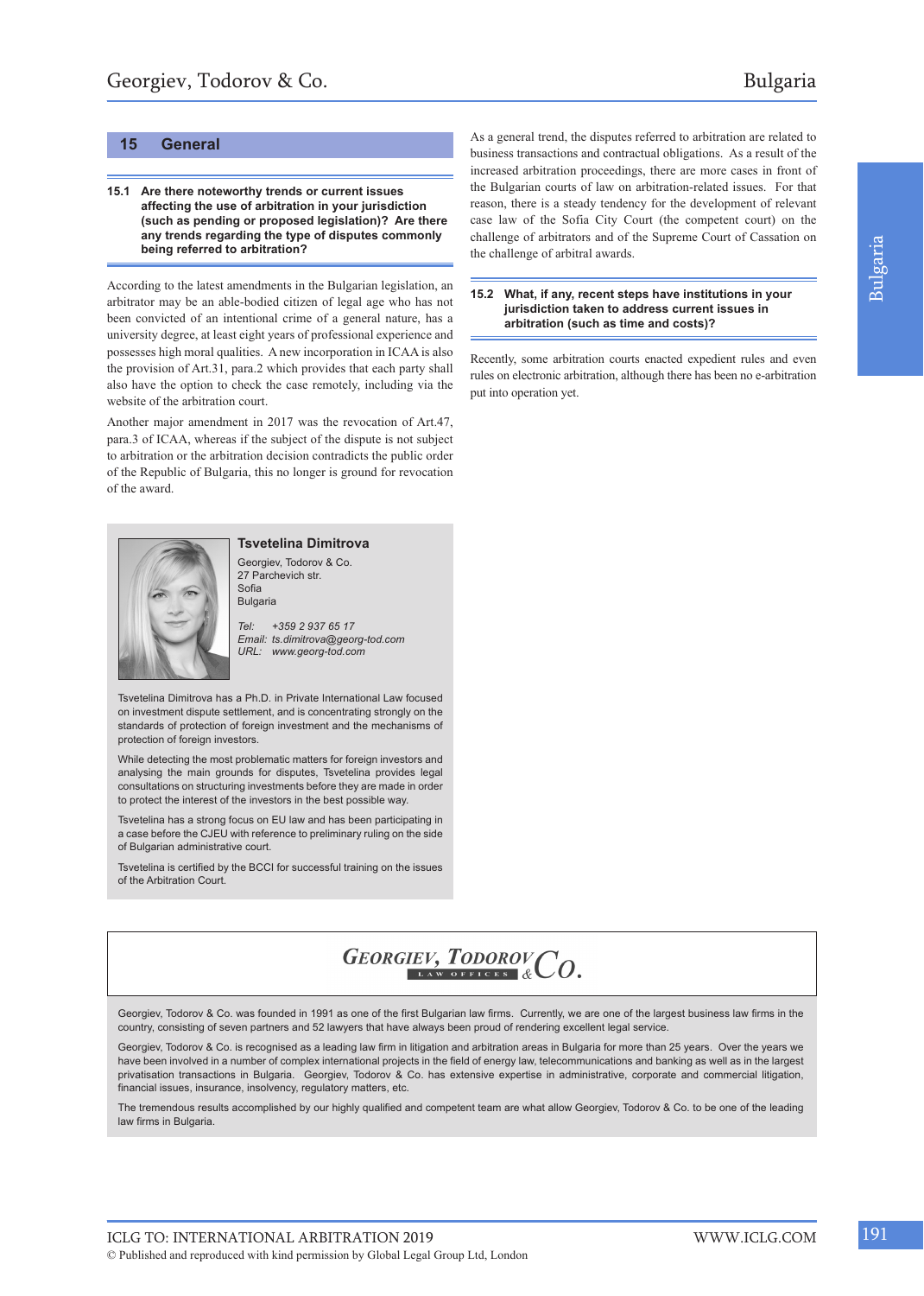## **15 General**

#### **15.1 Are there noteworthy trends or current issues affecting the use of arbitration in your jurisdiction (such as pending or proposed legislation)? Are there any trends regarding the type of disputes commonly being referred to arbitration?**

According to the latest amendments in the Bulgarian legislation, an arbitrator may be an able-bodied citizen of legal age who has not been convicted of an intentional crime of a general nature, has a university degree, at least eight years of professional experience and possesses high moral qualities. A new incorporation in ICAA is also the provision of Art.31, para.2 which provides that each party shall also have the option to check the case remotely, including via the website of the arbitration court.

Another major amendment in 2017 was the revocation of Art.47, para.3 of ICAA, whereas if the subject of the dispute is not subject to arbitration or the arbitration decision contradicts the public order of the Republic of Bulgaria, this no longer is ground for revocation of the award.



**Tsvetelina Dimitrova** Georgiev, Todorov & Co. 27 Parchevich str. Sofia

Bulgaria

*Tel: +359 2 937 65 17 Email: ts.dimitrova@georg-tod.com URL: www.georg-tod.com*

Tsvetelina Dimitrova has a Ph.D. in Private International Law focused on investment dispute settlement, and is concentrating strongly on the standards of protection of foreign investment and the mechanisms of protection of foreign investors.

While detecting the most problematic matters for foreign investors and analysing the main grounds for disputes, Tsvetelina provides legal consultations on structuring investments before they are made in order to protect the interest of the investors in the best possible way.

Tsvetelina has a strong focus on EU law and has been participating in a case before the CJEU with reference to preliminary ruling on the side of Bulgarian administrative court.

Tsvetelina is certified by the BCCI for successful training on the issues of the Arbitration Court.

As a general trend, the disputes referred to arbitration are related to business transactions and contractual obligations. As a result of the increased arbitration proceedings, there are more cases in front of the Bulgarian courts of law on arbitration-related issues. For that reason, there is a steady tendency for the development of relevant case law of the Sofia City Court (the competent court) on the challenge of arbitrators and of the Supreme Court of Cassation on the challenge of arbitral awards.

#### **15.2 What, if any, recent steps have institutions in your jurisdiction taken to address current issues in arbitration (such as time and costs)?**

Recently, some arbitration courts enacted expedient rules and even rules on electronic arbitration, although there has been no e-arbitration put into operation yet.

## GEORGIEV, TODOROVCO.

Georgiev, Todorov & Co. was founded in 1991 as one of the first Bulgarian law firms. Currently, we are one of the largest business law firms in the country, consisting of seven partners and 52 lawyers that have always been proud of rendering excellent legal service.

Georgiev, Todorov & Co. is recognised as a leading law firm in litigation and arbitration areas in Bulgaria for more than 25 years. Over the years we have been involved in a number of complex international projects in the field of energy law, telecommunications and banking as well as in the largest privatisation transactions in Bulgaria. Georgiev, Todorov & Co. has extensive expertise in administrative, corporate and commercial litigation, financial issues, insurance, insolvency, regulatory matters, etc.

The tremendous results accomplished by our highly qualified and competent team are what allow Georgiev, Todorov & Co. to be one of the leading law firms in Bulgaria.